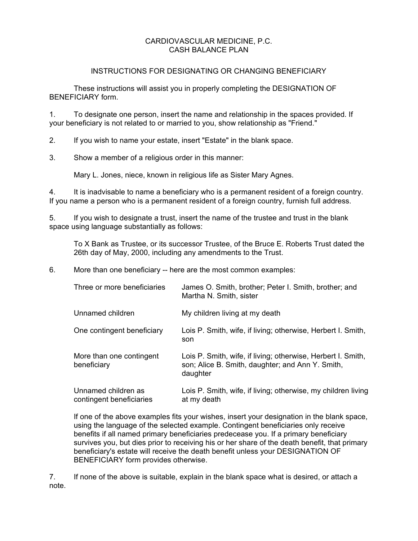### CARDIOVASCULAR MEDICINE, P.C. CASH BALANCE PLAN

### INSTRUCTIONS FOR DESIGNATING OR CHANGING BENEFICIARY

These instructions will assist you in properly completing the DESIGNATION OF BENEFICIARY form.

1. To designate one person, insert the name and relationship in the spaces provided. If your beneficiary is not related to or married to you, show relationship as "Friend."

2. If you wish to name your estate, insert "Estate" in the blank space.

3. Show a member of a religious order in this manner:

Mary L. Jones, niece, known in religious life as Sister Mary Agnes.

4. It is inadvisable to name a beneficiary who is a permanent resident of a foreign country. If you name a person who is a permanent resident of a foreign country, furnish full address.

5. If you wish to designate a trust, insert the name of the trustee and trust in the blank space using language substantially as follows:

To X Bank as Trustee, or its successor Trustee, of the Bruce E. Roberts Trust dated the 26th day of May, 2000, including any amendments to the Trust.

6. More than one beneficiary -- here are the most common examples:

| Three or more beneficiaries                     | James O. Smith, brother; Peter I. Smith, brother; and<br>Martha N. Smith, sister                                             |
|-------------------------------------------------|------------------------------------------------------------------------------------------------------------------------------|
| Unnamed children                                | My children living at my death                                                                                               |
| One contingent beneficiary                      | Lois P. Smith, wife, if living; otherwise, Herbert I. Smith,<br>son                                                          |
| More than one contingent<br>beneficiary         | Lois P. Smith, wife, if living; otherwise, Herbert I. Smith,<br>son; Alice B. Smith, daughter; and Ann Y. Smith,<br>daughter |
| Unnamed children as<br>contingent beneficiaries | Lois P. Smith, wife, if living; otherwise, my children living<br>at my death                                                 |

If one of the above examples fits your wishes, insert your designation in the blank space, using the language of the selected example. Contingent beneficiaries only receive benefits if all named primary beneficiaries predecease you. If a primary beneficiary survives you, but dies prior to receiving his or her share of the death benefit, that primary beneficiary's estate will receive the death benefit unless your DESIGNATION OF BENEFICIARY form provides otherwise.

7. If none of the above is suitable, explain in the blank space what is desired, or attach a note.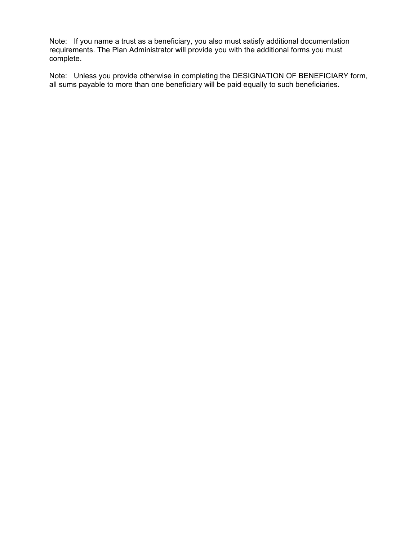Note: If you name a trust as a beneficiary, you also must satisfy additional documentation requirements. The Plan Administrator will provide you with the additional forms you must complete.

Note: Unless you provide otherwise in completing the DESIGNATION OF BENEFICIARY form, all sums payable to more than one beneficiary will be paid equally to such beneficiaries.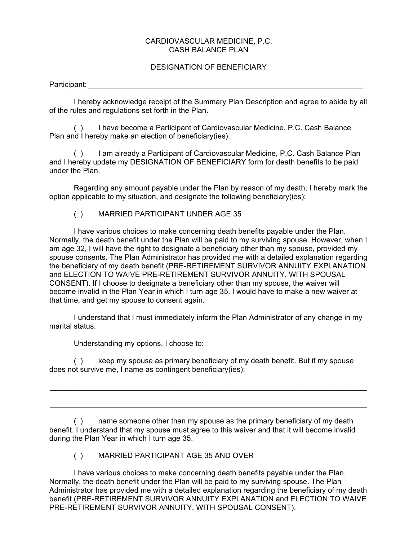# CARDIOVASCULAR MEDICINE, P.C. CASH BALANCE PLAN Participant: \_\_\_\_\_\_\_\_\_\_\_\_\_\_\_\_\_\_\_\_\_\_\_\_\_\_\_\_\_\_\_\_\_\_\_\_\_\_\_\_\_\_\_\_\_\_\_\_\_\_\_\_\_\_\_\_\_\_\_\_\_\_\_\_\_\_

### DESIGNATION OF BENEFICIARY

I hereby acknowledge receipt of the Summary Plan Description and agree to abide by all of the rules and regulations set forth in the Plan.

( ) I have become a Participant of Cardiovascular Medicine, P.C. Cash Balance Plan and I hereby make an election of beneficiary(ies).

( ) I am already a Participant of Cardiovascular Medicine, P.C. Cash Balance Plan and I hereby update my DESIGNATION OF BENEFICIARY form for death benefits to be paid under the Plan.

Regarding any amount payable under the Plan by reason of my death, I hereby mark the option applicable to my situation, and designate the following beneficiary(ies):

## ( ) MARRIED PARTICIPANT UNDER AGE 35

I have various choices to make concerning death benefits payable under the Plan. Normally, the death benefit under the Plan will be paid to my surviving spouse. However, when I am age 32, I will have the right to designate a beneficiary other than my spouse, provided my spouse consents. The Plan Administrator has provided me with a detailed explanation regarding the beneficiary of my death benefit (PRE-RETIREMENT SURVIVOR ANNUITY EXPLANATION and ELECTION TO WAIVE PRE-RETIREMENT SURVIVOR ANNUITY, WITH SPOUSAL CONSENT). If I choose to designate a beneficiary other than my spouse, the waiver will become invalid in the Plan Year in which I turn age 35. I would have to make a new waiver at that time, and get my spouse to consent again.

I understand that I must immediately inform the Plan Administrator of any change in my marital status.

Understanding my options, I choose to:

( ) keep my spouse as primary beneficiary of my death benefit. But if my spouse does not survive me, I name as contingent beneficiary(ies):

\_\_\_\_\_\_\_\_\_\_\_\_\_\_\_\_\_\_\_\_\_\_\_\_\_\_\_\_\_\_\_\_\_\_\_\_\_\_\_\_\_\_\_\_\_\_\_\_\_\_\_\_\_\_\_\_\_\_\_\_\_\_\_\_\_\_\_\_\_\_\_\_\_\_\_\_

\_\_\_\_\_\_\_\_\_\_\_\_\_\_\_\_\_\_\_\_\_\_\_\_\_\_\_\_\_\_\_\_\_\_\_\_\_\_\_\_\_\_\_\_\_\_\_\_\_\_\_\_\_\_\_\_\_\_\_\_\_\_\_\_\_\_\_\_\_\_\_\_\_\_\_\_

( ) name someone other than my spouse as the primary beneficiary of my death benefit. I understand that my spouse must agree to this waiver and that it will become invalid during the Plan Year in which I turn age 35.

( ) MARRIED PARTICIPANT AGE 35 AND OVER

I have various choices to make concerning death benefits payable under the Plan. Normally, the death benefit under the Plan will be paid to my surviving spouse. The Plan Administrator has provided me with a detailed explanation regarding the beneficiary of my death benefit (PRE-RETIREMENT SURVIVOR ANNUITY EXPLANATION and ELECTION TO WAIVE PRE-RETIREMENT SURVIVOR ANNUITY, WITH SPOUSAL CONSENT).